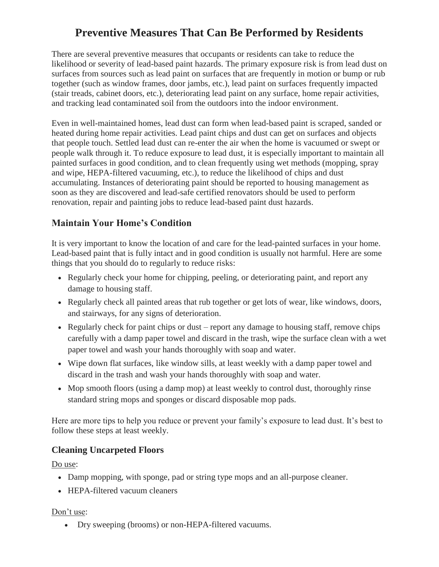# **Preventive Measures That Can Be Performed by Residents**

There are several preventive measures that occupants or residents can take to reduce the likelihood or severity of lead-based paint hazards. The primary exposure risk is from lead dust on surfaces from sources such as lead paint on surfaces that are frequently in motion or bump or rub together (such as window frames, door jambs, etc.), lead paint on surfaces frequently impacted (stair treads, cabinet doors, etc.), deteriorating lead paint on any surface, home repair activities, and tracking lead contaminated soil from the outdoors into the indoor environment.

Even in well-maintained homes, lead dust can form when lead-based paint is scraped, sanded or heated during home repair activities. Lead paint chips and dust can get on surfaces and objects that people touch. Settled lead dust can re-enter the air when the home is vacuumed or swept or people walk through it. To reduce exposure to lead dust, it is especially important to maintain all painted surfaces in good condition, and to clean frequently using wet methods (mopping, spray and wipe, HEPA-filtered vacuuming, etc.), to reduce the likelihood of chips and dust accumulating. Instances of deteriorating paint should be reported to housing management as soon as they are discovered and lead-safe certified renovators should be used to perform renovation, repair and painting jobs to reduce lead-based paint dust hazards.

# **Maintain Your Home's Condition**

It is very important to know the location of and care for the lead-painted surfaces in your home. Lead-based paint that is fully intact and in good condition is usually not harmful. Here are some things that you should do to regularly to reduce risks:

- Regularly check your home for chipping, peeling, or deteriorating paint, and report any damage to housing staff.
- Regularly check all painted areas that rub together or get lots of wear, like windows, doors, and stairways, for any signs of deterioration.
- Regularly check for paint chips or dust report any damage to housing staff, remove chips carefully with a damp paper towel and discard in the trash, wipe the surface clean with a wet paper towel and wash your hands thoroughly with soap and water.
- Wipe down flat surfaces, like window sills, at least weekly with a damp paper towel and discard in the trash and wash your hands thoroughly with soap and water.
- Mop smooth floors (using a damp mop) at least weekly to control dust, thoroughly rinse standard string mops and sponges or discard disposable mop pads.

Here are more tips to help you reduce or prevent your family's exposure to lead dust. It's best to follow these steps at least weekly.

### **Cleaning Uncarpeted Floors**

Do use:

- Damp mopping, with sponge, pad or string type mops and an all-purpose cleaner.
- HEPA-filtered vacuum cleaners

#### Don't use:

Dry sweeping (brooms) or non-HEPA-filtered vacuums.